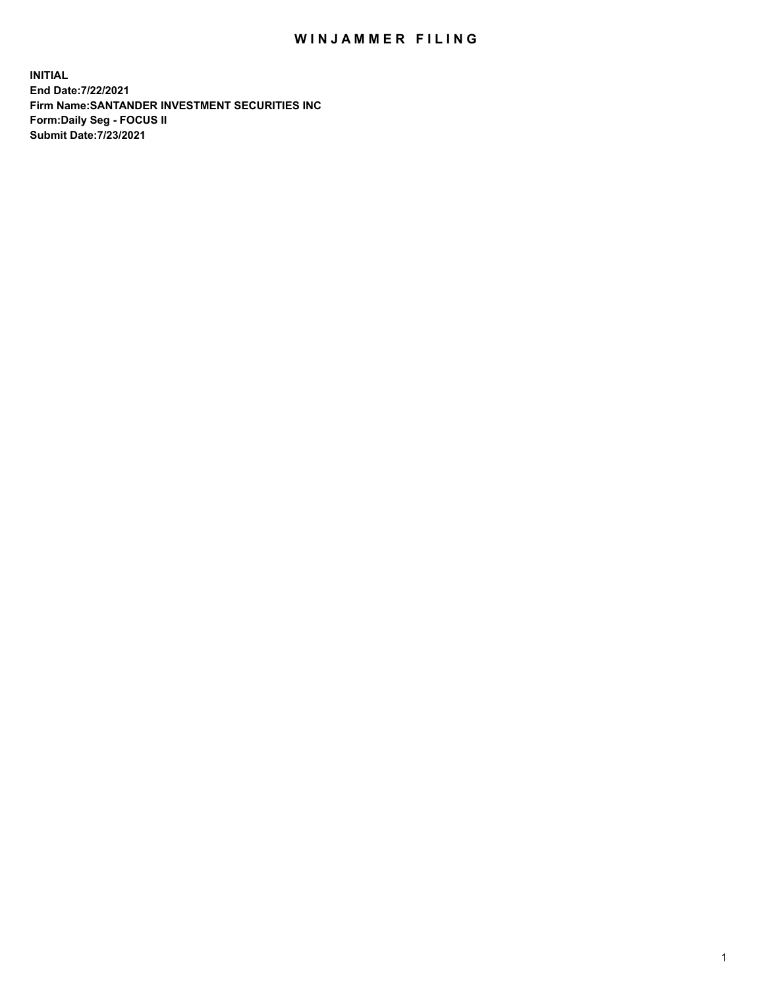## WIN JAMMER FILING

**INITIAL End Date:7/22/2021 Firm Name:SANTANDER INVESTMENT SECURITIES INC Form:Daily Seg - FOCUS II Submit Date:7/23/2021**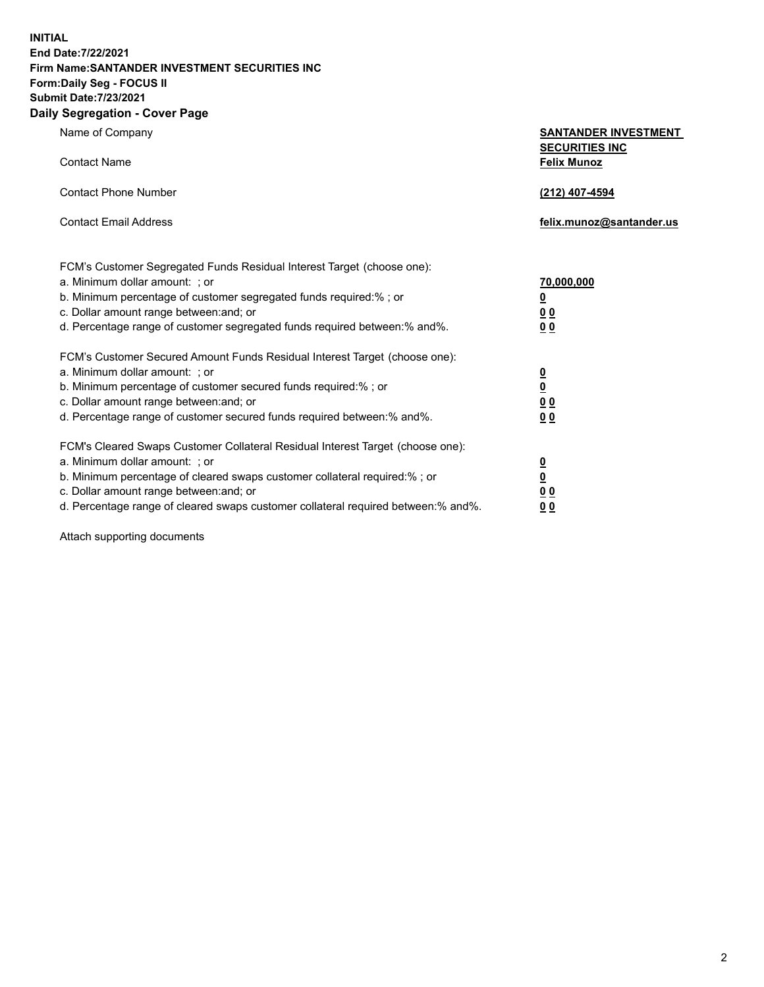**INITIAL End Date:7/22/2021 Firm Name:SANTANDER INVESTMENT SECURITIES INC Form:Daily Seg - FOCUS II Submit Date:7/23/2021 Daily Segregation - Cover Page**

| Name of Company |  |
|-----------------|--|
|-----------------|--|

| Name of Company                                                                                               | <b>SANTANDER INVESTMENT</b><br><b>SECURITIES INC</b> |  |
|---------------------------------------------------------------------------------------------------------------|------------------------------------------------------|--|
| <b>Contact Name</b>                                                                                           | <b>Felix Munoz</b>                                   |  |
| <b>Contact Phone Number</b>                                                                                   | (212) 407-4594                                       |  |
| <b>Contact Email Address</b>                                                                                  | felix.munoz@santander.us                             |  |
| FCM's Customer Segregated Funds Residual Interest Target (choose one):                                        |                                                      |  |
| a. Minimum dollar amount: ; or                                                                                | 70,000,000                                           |  |
| b. Minimum percentage of customer segregated funds required:% ; or<br>c. Dollar amount range between: and; or | <u>0</u>                                             |  |
| d. Percentage range of customer segregated funds required between:% and%.                                     | 0 <sub>0</sub><br>0 <sub>0</sub>                     |  |
| FCM's Customer Secured Amount Funds Residual Interest Target (choose one):                                    |                                                      |  |
| a. Minimum dollar amount: ; or                                                                                | $\frac{0}{0}$                                        |  |
| b. Minimum percentage of customer secured funds required:%; or                                                |                                                      |  |
| c. Dollar amount range between: and; or                                                                       | 0 <sub>0</sub>                                       |  |
| d. Percentage range of customer secured funds required between:% and%.                                        | 0 <sub>0</sub>                                       |  |
| FCM's Cleared Swaps Customer Collateral Residual Interest Target (choose one):                                |                                                      |  |
| a. Minimum dollar amount:; or                                                                                 | $\overline{\mathbf{0}}$                              |  |

b. Minimum percentage of cleared swaps customer collateral required:% ; or **0** c. Dollar amount range between:and; or **0 0** d. Percentage range of cleared swaps customer collateral required between:% and%. **0 0**

Attach supporting documents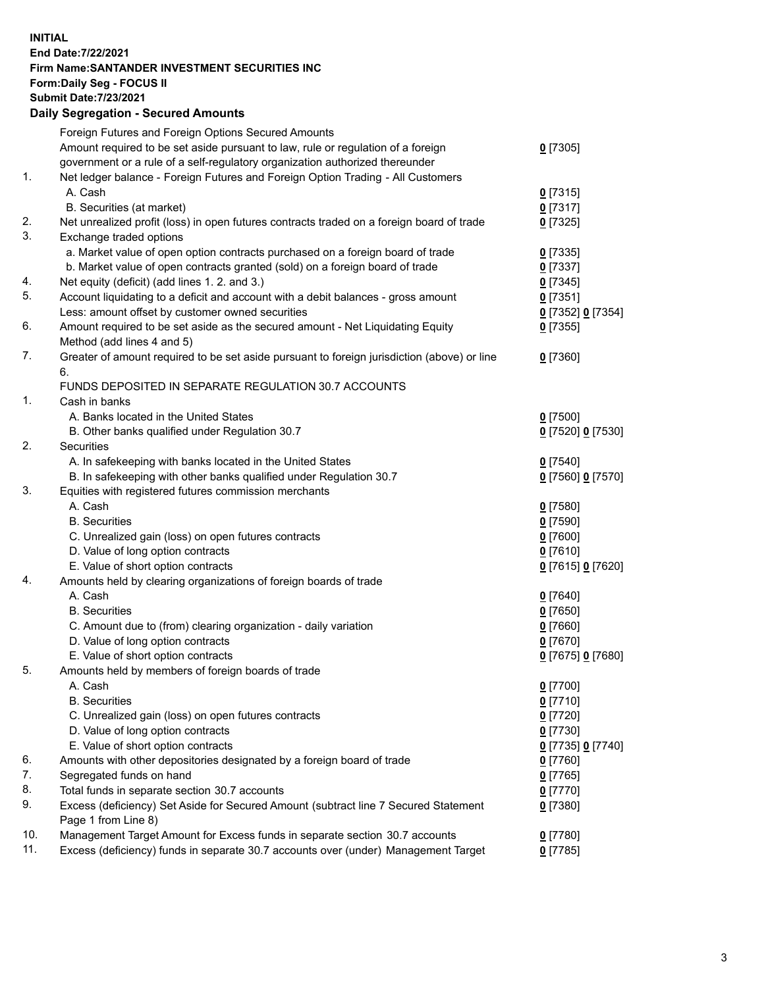**INITIAL End Date:7/22/2021 Firm Name:SANTANDER INVESTMENT SECURITIES INC Form:Daily Seg - FOCUS II Submit Date:7/23/2021 Daily Segregation - Secured Amounts**

|          | Foreign Futures and Foreign Options Secured Amounts                                                |                        |
|----------|----------------------------------------------------------------------------------------------------|------------------------|
|          | Amount required to be set aside pursuant to law, rule or regulation of a foreign                   | $0$ [7305]             |
|          | government or a rule of a self-regulatory organization authorized thereunder                       |                        |
| 1.       | Net ledger balance - Foreign Futures and Foreign Option Trading - All Customers                    |                        |
|          | A. Cash                                                                                            | $0$ [7315]             |
|          | B. Securities (at market)                                                                          | $0$ [7317]             |
| 2.       | Net unrealized profit (loss) in open futures contracts traded on a foreign board of trade          | $0$ [7325]             |
| 3.       | Exchange traded options                                                                            |                        |
|          | a. Market value of open option contracts purchased on a foreign board of trade                     | $0$ [7335]             |
|          | b. Market value of open contracts granted (sold) on a foreign board of trade                       | $0$ [7337]             |
| 4.       | Net equity (deficit) (add lines 1. 2. and 3.)                                                      | $0$ [7345]             |
| 5.       | Account liquidating to a deficit and account with a debit balances - gross amount                  | $0$ [7351]             |
|          | Less: amount offset by customer owned securities                                                   | 0 [7352] 0 [7354]      |
| 6.       | Amount required to be set aside as the secured amount - Net Liquidating Equity                     | $0$ [7355]             |
|          | Method (add lines 4 and 5)                                                                         |                        |
| 7.       | Greater of amount required to be set aside pursuant to foreign jurisdiction (above) or line        | $0$ [7360]             |
|          | 6.                                                                                                 |                        |
|          | FUNDS DEPOSITED IN SEPARATE REGULATION 30.7 ACCOUNTS                                               |                        |
| 1.       | Cash in banks                                                                                      |                        |
|          | A. Banks located in the United States                                                              | $0$ [7500]             |
|          | B. Other banks qualified under Regulation 30.7                                                     | 0 [7520] 0 [7530]      |
| 2.       | <b>Securities</b>                                                                                  |                        |
|          | A. In safekeeping with banks located in the United States                                          | $0$ [7540]             |
|          | B. In safekeeping with other banks qualified under Regulation 30.7                                 | 0 [7560] 0 [7570]      |
| 3.       | Equities with registered futures commission merchants                                              |                        |
|          | A. Cash                                                                                            | $0$ [7580]             |
|          | <b>B.</b> Securities                                                                               | $0$ [7590]             |
|          | C. Unrealized gain (loss) on open futures contracts                                                | $0$ [7600]             |
|          | D. Value of long option contracts                                                                  | $0$ [7610]             |
|          | E. Value of short option contracts                                                                 | 0 [7615] 0 [7620]      |
| 4.       | Amounts held by clearing organizations of foreign boards of trade                                  |                        |
|          | A. Cash                                                                                            | $0$ [7640]             |
|          | <b>B.</b> Securities                                                                               | $0$ [7650]             |
|          | C. Amount due to (from) clearing organization - daily variation                                    | $0$ [7660]             |
|          | D. Value of long option contracts                                                                  | $0$ [7670]             |
| 5.       | E. Value of short option contracts                                                                 | 0 [7675] 0 [7680]      |
|          | Amounts held by members of foreign boards of trade                                                 |                        |
|          | A. Cash                                                                                            | 0 [7700]               |
|          | <b>B.</b> Securities                                                                               | $0$ [7710]             |
|          | C. Unrealized gain (loss) on open futures contracts                                                | $0$ [7720]             |
|          | D. Value of long option contracts                                                                  | $0$ [7730]             |
|          | E. Value of short option contracts                                                                 | 0 [7735] 0 [7740]      |
| 6.<br>7. | Amounts with other depositories designated by a foreign board of trade<br>Segregated funds on hand | $0$ [7760]             |
| 8.       | Total funds in separate section 30.7 accounts                                                      | $0$ [7765]             |
| 9.       | Excess (deficiency) Set Aside for Secured Amount (subtract line 7 Secured Statement                | $0$ [7770]<br>0 [7380] |
|          | Page 1 from Line 8)                                                                                |                        |
| 10.      | Management Target Amount for Excess funds in separate section 30.7 accounts                        | $0$ [7780]             |
| 11.      | Excess (deficiency) funds in separate 30.7 accounts over (under) Management Target                 | $0$ [7785]             |
|          |                                                                                                    |                        |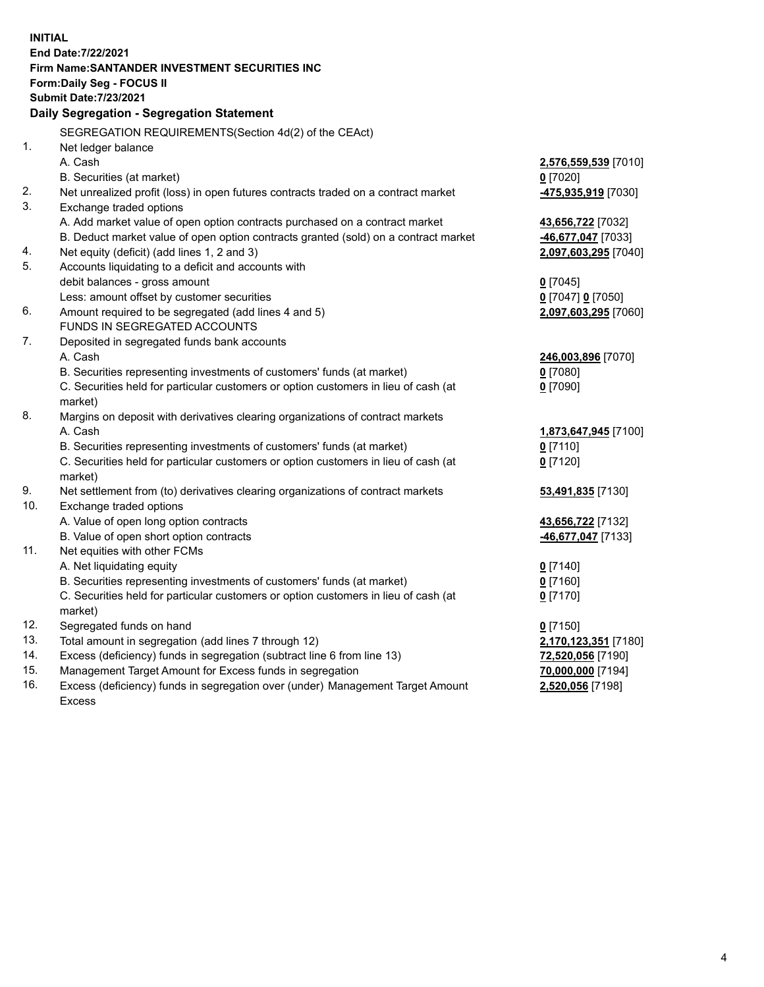| <b>INITIAL</b> |                                                                                     |                      |
|----------------|-------------------------------------------------------------------------------------|----------------------|
|                | End Date: 7/22/2021                                                                 |                      |
|                | Firm Name: SANTANDER INVESTMENT SECURITIES INC                                      |                      |
|                | Form: Daily Seg - FOCUS II                                                          |                      |
|                | <b>Submit Date: 7/23/2021</b>                                                       |                      |
|                | Daily Segregation - Segregation Statement                                           |                      |
|                | SEGREGATION REQUIREMENTS(Section 4d(2) of the CEAct)                                |                      |
| 1.             | Net ledger balance                                                                  |                      |
|                | A. Cash                                                                             | 2,576,559,539 [7010] |
|                | B. Securities (at market)                                                           | $0$ [7020]           |
| 2.             | Net unrealized profit (loss) in open futures contracts traded on a contract market  | 475,935,919 [7030]   |
| 3.             | Exchange traded options                                                             |                      |
|                | A. Add market value of open option contracts purchased on a contract market         | 43,656,722 [7032]    |
|                | B. Deduct market value of open option contracts granted (sold) on a contract market | -46,677,047 [7033]   |
| 4.             | Net equity (deficit) (add lines 1, 2 and 3)                                         | 2,097,603,295 [7040] |
| 5.             | Accounts liquidating to a deficit and accounts with                                 |                      |
|                | debit balances - gross amount                                                       | $0$ [7045]           |
|                | Less: amount offset by customer securities                                          | 0 [7047] 0 [7050]    |
| 6.             | Amount required to be segregated (add lines 4 and 5)                                | 2,097,603,295 [7060] |
|                | FUNDS IN SEGREGATED ACCOUNTS                                                        |                      |
| 7.             | Deposited in segregated funds bank accounts                                         |                      |
|                | A. Cash                                                                             | 246,003,896 [7070]   |
|                | B. Securities representing investments of customers' funds (at market)              | $0$ [7080]           |
|                | C. Securities held for particular customers or option customers in lieu of cash (at | $0$ [7090]           |
|                | market)                                                                             |                      |
| 8.             | Margins on deposit with derivatives clearing organizations of contract markets      |                      |
|                | A. Cash                                                                             | 1,873,647,945 [7100] |
|                | B. Securities representing investments of customers' funds (at market)              | $0$ [7110]           |
|                | C. Securities held for particular customers or option customers in lieu of cash (at | $0$ [7120]           |
|                | market)                                                                             |                      |
| 9.             | Net settlement from (to) derivatives clearing organizations of contract markets     | 53,491,835 [7130]    |
| 10.            | Exchange traded options                                                             |                      |
|                | A. Value of open long option contracts                                              | 43,656,722 [7132]    |
|                | B. Value of open short option contracts                                             | 46,677,047 [7133]    |
| 11.            | Net equities with other FCMs                                                        |                      |
|                | A. Net liquidating equity                                                           | $0$ [7140]           |
|                | B. Securities representing investments of customers' funds (at market)              | $0$ [7160]           |
|                | C. Securities held for particular customers or option customers in lieu of cash (at | $0$ [7170]           |
|                | market)                                                                             |                      |
| 12.            | Segregated funds on hand                                                            | $0$ [7150]           |
| 13.            | Total amount in segregation (add lines 7 through 12)                                | 2,170,123,351 [7180] |
| 14.            | Excess (deficiency) funds in segregation (subtract line 6 from line 13)             | 72,520,056 [7190]    |
| 15.            | Management Target Amount for Excess funds in segregation                            | 70,000,000 [7194]    |
| 16.            | Excess (deficiency) funds in segregation over (under) Management Target Amount      | 2,520,056 [7198]     |
|                | <b>Excess</b>                                                                       |                      |